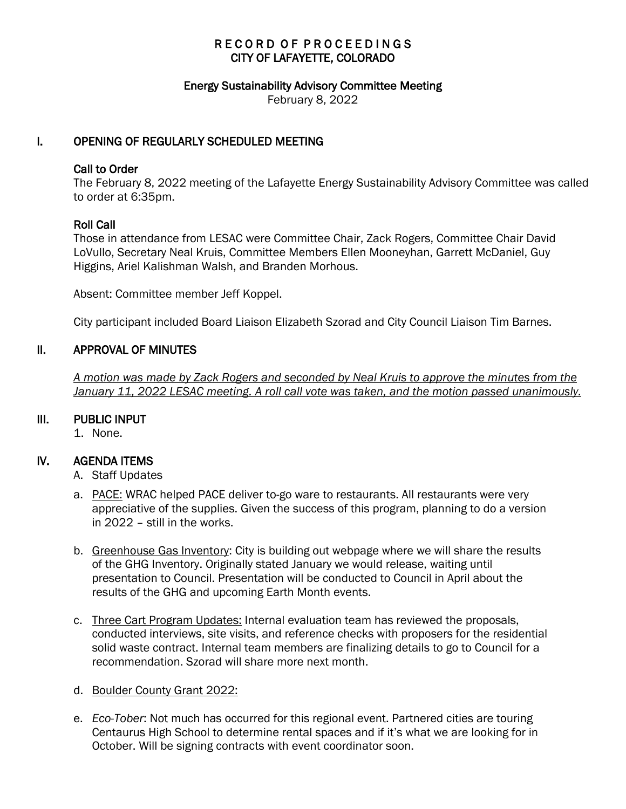### RECORD OF PROCEEDINGS CITY OF LAFAYETTE, COLORADO

#### Energy Sustainability Advisory Committee Meeting

February 8, 2022

### I. OPENING OF REGULARLY SCHEDULED MEETING

#### Call to Order

The February 8, 2022 meeting of the Lafayette Energy Sustainability Advisory Committee was called to order at 6:35pm.

### Roll Call

Those in attendance from LESAC were Committee Chair, Zack Rogers, Committee Chair David LoVullo, Secretary Neal Kruis, Committee Members Ellen Mooneyhan, Garrett McDaniel, Guy Higgins, Ariel Kalishman Walsh, and Branden Morhous.

Absent: Committee member Jeff Koppel.

City participant included Board Liaison Elizabeth Szorad and City Council Liaison Tim Barnes.

### II. APPROVAL OF MINUTES

 *A motion was made by Zack Rogers and seconded by Neal Kruis to approve the minutes from the January 11, 2022 LESAC meeting. A roll call vote was taken, and the motion passed unanimously.*

### III. PUBLIC INPUT

1. None.

### IV. AGENDA ITEMS

- A. Staff Updates
- a. PACE: WRAC helped PACE deliver to-go ware to restaurants. All restaurants were very appreciative of the supplies. Given the success of this program, planning to do a version in 2022 – still in the works.
- b. Greenhouse Gas Inventory: City is building out webpage where we will share the results of the GHG Inventory. Originally stated January we would release, waiting until presentation to Council. Presentation will be conducted to Council in April about the results of the GHG and upcoming Earth Month events.
- c. Three Cart Program Updates: Internal evaluation team has reviewed the proposals, conducted interviews, site visits, and reference checks with proposers for the residential solid waste contract. Internal team members are finalizing details to go to Council for a recommendation. Szorad will share more next month.
- d. Boulder County Grant 2022:
- e. *Eco-Tober*: Not much has occurred for this regional event. Partnered cities are touring Centaurus High School to determine rental spaces and if it's what we are looking for in October. Will be signing contracts with event coordinator soon.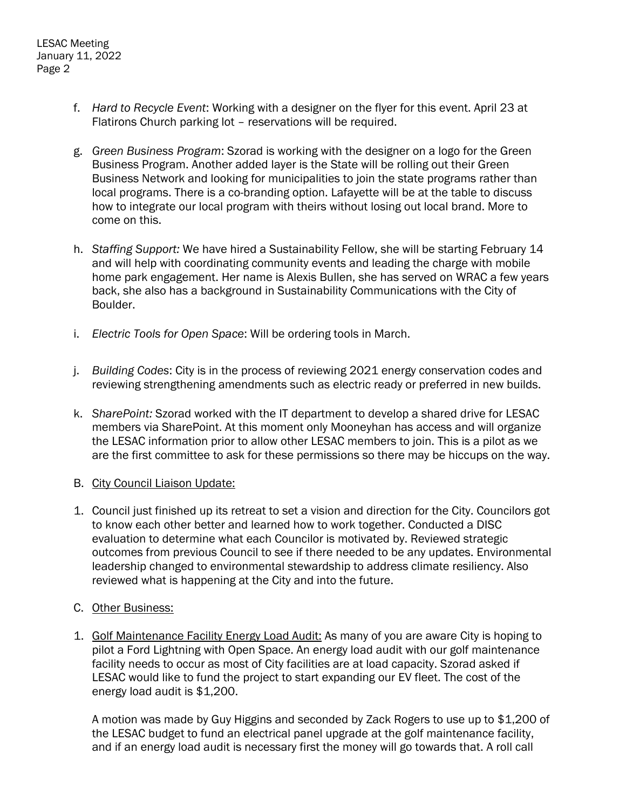- f. *Hard to Recycle Event*: Working with a designer on the flyer for this event. April 23 at Flatirons Church parking lot – reservations will be required.
- g. *Green Business Program*: Szorad is working with the designer on a logo for the Green Business Program. Another added layer is the State will be rolling out their Green Business Network and looking for municipalities to join the state programs rather than local programs. There is a co-branding option. Lafayette will be at the table to discuss how to integrate our local program with theirs without losing out local brand. More to come on this.
- h. *Staffing Support:* We have hired a Sustainability Fellow, she will be starting February 14 and will help with coordinating community events and leading the charge with mobile home park engagement. Her name is Alexis Bullen, she has served on WRAC a few years back, she also has a background in Sustainability Communications with the City of Boulder.
- i. *Electric Tools for Open Space*: Will be ordering tools in March.
- j. *Building Codes*: City is in the process of reviewing 2021 energy conservation codes and reviewing strengthening amendments such as electric ready or preferred in new builds.
- k. *SharePoint:* Szorad worked with the IT department to develop a shared drive for LESAC members via SharePoint. At this moment only Mooneyhan has access and will organize the LESAC information prior to allow other LESAC members to join. This is a pilot as we are the first committee to ask for these permissions so there may be hiccups on the way.
- B. City Council Liaison Update:
- 1. Council just finished up its retreat to set a vision and direction for the City. Councilors got to know each other better and learned how to work together. Conducted a DISC evaluation to determine what each Councilor is motivated by. Reviewed strategic outcomes from previous Council to see if there needed to be any updates. Environmental leadership changed to environmental stewardship to address climate resiliency. Also reviewed what is happening at the City and into the future.
- C. Other Business:
- 1. Golf Maintenance Facility Energy Load Audit: As many of you are aware City is hoping to pilot a Ford Lightning with Open Space. An energy load audit with our golf maintenance facility needs to occur as most of City facilities are at load capacity. Szorad asked if LESAC would like to fund the project to start expanding our EV fleet. The cost of the energy load audit is \$1,200.

A motion was made by Guy Higgins and seconded by Zack Rogers to use up to \$1,200 of the LESAC budget to fund an electrical panel upgrade at the golf maintenance facility, and if an energy load audit is necessary first the money will go towards that. A roll call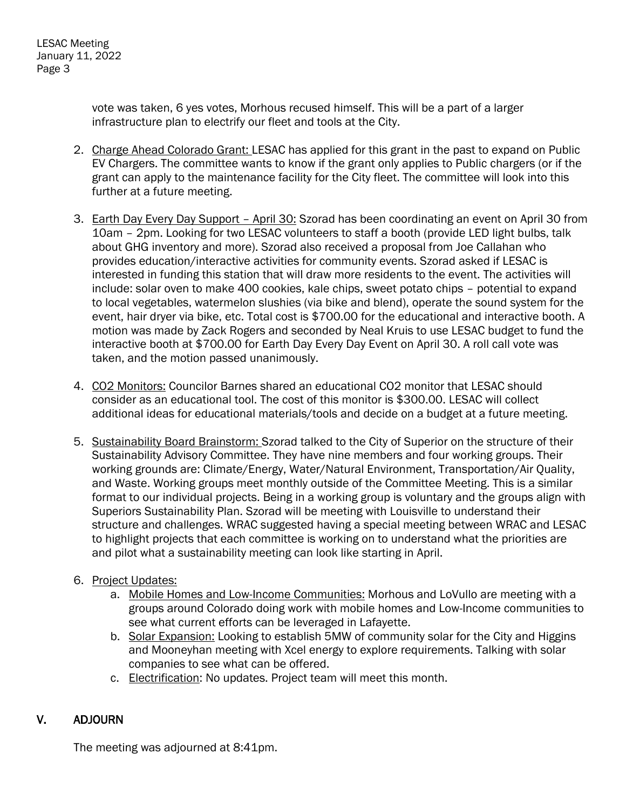vote was taken, 6 yes votes, Morhous recused himself. This will be a part of a larger infrastructure plan to electrify our fleet and tools at the City.

- 2. Charge Ahead Colorado Grant: LESAC has applied for this grant in the past to expand on Public EV Chargers. The committee wants to know if the grant only applies to Public chargers (or if the grant can apply to the maintenance facility for the City fleet. The committee will look into this further at a future meeting.
- 3. Earth Day Every Day Support April 30: Szorad has been coordinating an event on April 30 from 10am – 2pm. Looking for two LESAC volunteers to staff a booth (provide LED light bulbs, talk about GHG inventory and more). Szorad also received a proposal from Joe Callahan who provides education/interactive activities for community events. Szorad asked if LESAC is interested in funding this station that will draw more residents to the event. The activities will include: solar oven to make 400 cookies, kale chips, sweet potato chips – potential to expand to local vegetables, watermelon slushies (via bike and blend), operate the sound system for the event, hair dryer via bike, etc. Total cost is \$700.00 for the educational and interactive booth. A motion was made by Zack Rogers and seconded by Neal Kruis to use LESAC budget to fund the interactive booth at \$700.00 for Earth Day Every Day Event on April 30. A roll call vote was taken, and the motion passed unanimously.
- 4. CO2 Monitors: Councilor Barnes shared an educational CO2 monitor that LESAC should consider as an educational tool. The cost of this monitor is \$300.00. LESAC will collect additional ideas for educational materials/tools and decide on a budget at a future meeting.
- 5. Sustainability Board Brainstorm: Szorad talked to the City of Superior on the structure of their Sustainability Advisory Committee. They have nine members and four working groups. Their working grounds are: Climate/Energy, Water/Natural Environment, Transportation/Air Quality, and Waste. Working groups meet monthly outside of the Committee Meeting. This is a similar format to our individual projects. Being in a working group is voluntary and the groups align with Superiors Sustainability Plan. Szorad will be meeting with Louisville to understand their structure and challenges. WRAC suggested having a special meeting between WRAC and LESAC to highlight projects that each committee is working on to understand what the priorities are and pilot what a sustainability meeting can look like starting in April.
- 6. Project Updates:
	- a. Mobile Homes and Low-Income Communities: Morhous and LoVullo are meeting with a groups around Colorado doing work with mobile homes and Low-Income communities to see what current efforts can be leveraged in Lafayette.
	- b. Solar Expansion: Looking to establish 5MW of community solar for the City and Higgins and Mooneyhan meeting with Xcel energy to explore requirements. Talking with solar companies to see what can be offered.
	- c. Electrification: No updates. Project team will meet this month.

# V. ADJOURN

The meeting was adjourned at 8:41pm.